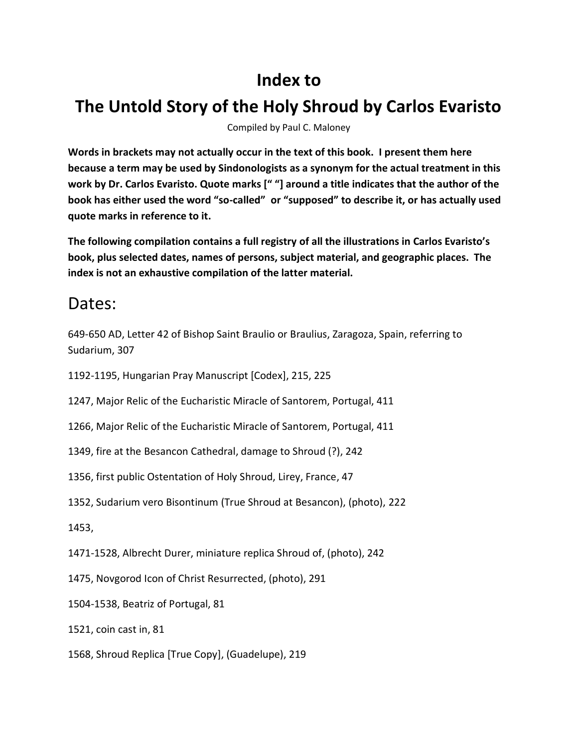# **Index to**

# **The Untold Story of the Holy Shroud by Carlos Evaristo**

Compiled by Paul C. Maloney

**Words in brackets may not actually occur in the text of this book. I present them here because a term may be used by Sindonologists as a synonym for the actual treatment in this work by Dr. Carlos Evaristo. Quote marks [" "] around a title indicates that the author of the book has either used the word "so-called" or "supposed" to describe it, or has actually used quote marks in reference to it.**

**The following compilation contains a full registry of all the illustrations in Carlos Evaristo's book, plus selected dates, names of persons, subject material, and geographic places. The index is not an exhaustive compilation of the latter material.**

#### Dates:

649-650 AD, Letter 42 of Bishop Saint Braulio or Braulius, Zaragoza, Spain, referring to Sudarium, 307

1192-1195, Hungarian Pray Manuscript [Codex], 215, 225

1247, Major Relic of the Eucharistic Miracle of Santorem, Portugal, 411

1266, Major Relic of the Eucharistic Miracle of Santorem, Portugal, 411

1349, fire at the Besancon Cathedral, damage to Shroud (?), 242

1356, first public Ostentation of Holy Shroud, Lirey, France, 47

1352, Sudarium vero Bisontinum (True Shroud at Besancon), (photo), 222

1453,

1471-1528, Albrecht Durer, miniature replica Shroud of, (photo), 242

1475, Novgorod Icon of Christ Resurrected, (photo), 291

1504-1538, Beatriz of Portugal, 81

1521, coin cast in, 81

1568, Shroud Replica [True Copy], (Guadelupe), 219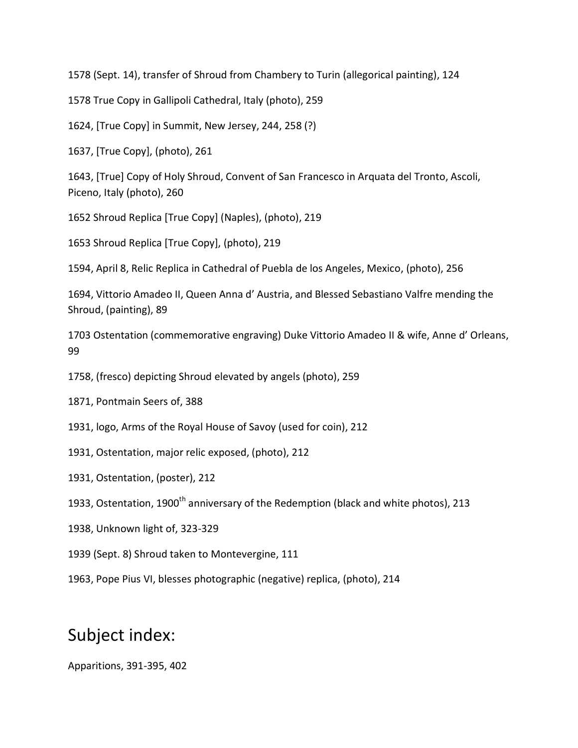1578 (Sept. 14), transfer of Shroud from Chambery to Turin (allegorical painting), 124

1578 True Copy in Gallipoli Cathedral, Italy (photo), 259

1624, [True Copy] in Summit, New Jersey, 244, 258 (?)

1637, [True Copy], (photo), 261

1643, [True] Copy of Holy Shroud, Convent of San Francesco in Arquata del Tronto, Ascoli, Piceno, Italy (photo), 260

1652 Shroud Replica [True Copy] (Naples), (photo), 219

1653 Shroud Replica [True Copy], (photo), 219

1594, April 8, Relic Replica in Cathedral of Puebla de los Angeles, Mexico, (photo), 256

1694, Vittorio Amadeo II, Queen Anna d' Austria, and Blessed Sebastiano Valfre mending the Shroud, (painting), 89

1703 Ostentation (commemorative engraving) Duke Vittorio Amadeo II & wife, Anne d' Orleans, 99

1758, (fresco) depicting Shroud elevated by angels (photo), 259

1871, Pontmain Seers of, 388

1931, logo, Arms of the Royal House of Savoy (used for coin), 212

- 1931, Ostentation, major relic exposed, (photo), 212
- 1931, Ostentation, (poster), 212
- 1933, Ostentation, 1900<sup>th</sup> anniversary of the Redemption (black and white photos), 213
- 1938, Unknown light of, 323-329
- 1939 (Sept. 8) Shroud taken to Montevergine, 111
- 1963, Pope Pius VI, blesses photographic (negative) replica, (photo), 214

## Subject index:

Apparitions, 391-395, 402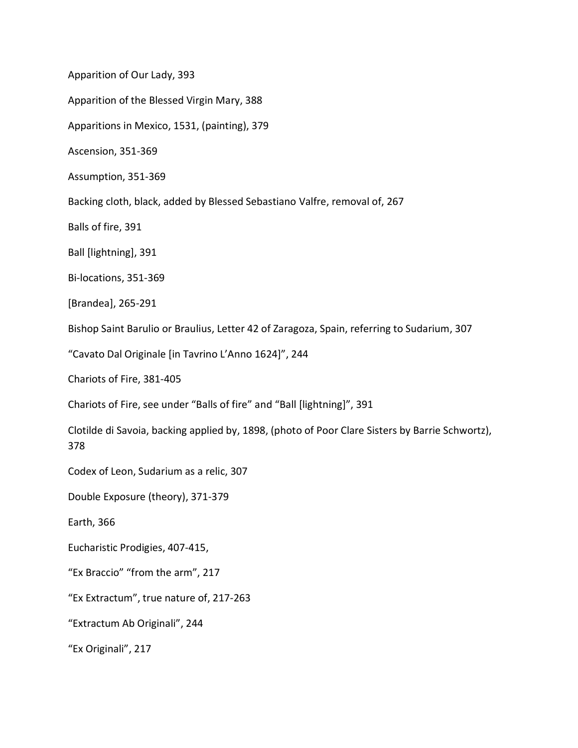Apparition of Our Lady, 393

Apparition of the Blessed Virgin Mary, 388

Apparitions in Mexico, 1531, (painting), 379

Ascension, 351-369

Assumption, 351-369

Backing cloth, black, added by Blessed Sebastiano Valfre, removal of, 267

Balls of fire, 391

Ball [lightning], 391

Bi-locations, 351-369

[Brandea], 265-291

Bishop Saint Barulio or Braulius, Letter 42 of Zaragoza, Spain, referring to Sudarium, 307

"Cavato Dal Originale [in Tavrino L'Anno 1624]", 244

Chariots of Fire, 381-405

Chariots of Fire, see under "Balls of fire" and "Ball [lightning]", 391

Clotilde di Savoia, backing applied by, 1898, (photo of Poor Clare Sisters by Barrie Schwortz), 378

Codex of Leon, Sudarium as a relic, 307

Double Exposure (theory), 371-379

Earth, 366

Eucharistic Prodigies, 407-415,

"Ex Braccio" "from the arm", 217

"Ex Extractum", true nature of, 217-263

"Extractum Ab Originali", 244

"Ex Originali", 217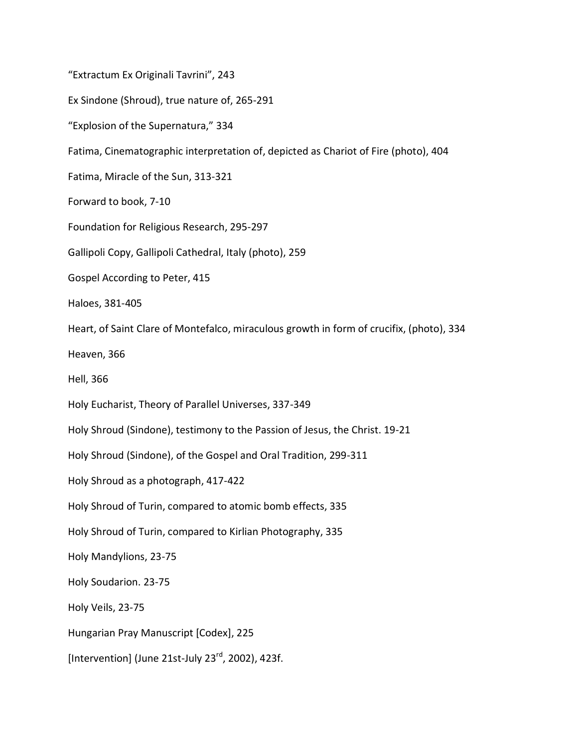"Extractum Ex Originali Tavrini", 243 Ex Sindone (Shroud), true nature of, 265-291 "Explosion of the Supernatura," 334 Fatima, Cinematographic interpretation of, depicted as Chariot of Fire (photo), 404 Fatima, Miracle of the Sun, 313-321 Forward to book, 7-10 Foundation for Religious Research, 295-297 Gallipoli Copy, Gallipoli Cathedral, Italy (photo), 259 Gospel According to Peter, 415 Haloes, 381-405 Heart, of Saint Clare of Montefalco, miraculous growth in form of crucifix, (photo), 334 Heaven, 366 Hell, 366 Holy Eucharist, Theory of Parallel Universes, 337-349 Holy Shroud (Sindone), testimony to the Passion of Jesus, the Christ. 19-21 Holy Shroud (Sindone), of the Gospel and Oral Tradition, 299-311 Holy Shroud as a photograph, 417-422 Holy Shroud of Turin, compared to atomic bomb effects, 335 Holy Shroud of Turin, compared to Kirlian Photography, 335 Holy Mandylions, 23-75 Holy Soudarion. 23-75 Holy Veils, 23-75 Hungarian Pray Manuscript [Codex], 225 [Intervention] (June 21st-July 23 $^{rd}$ , 2002), 423f.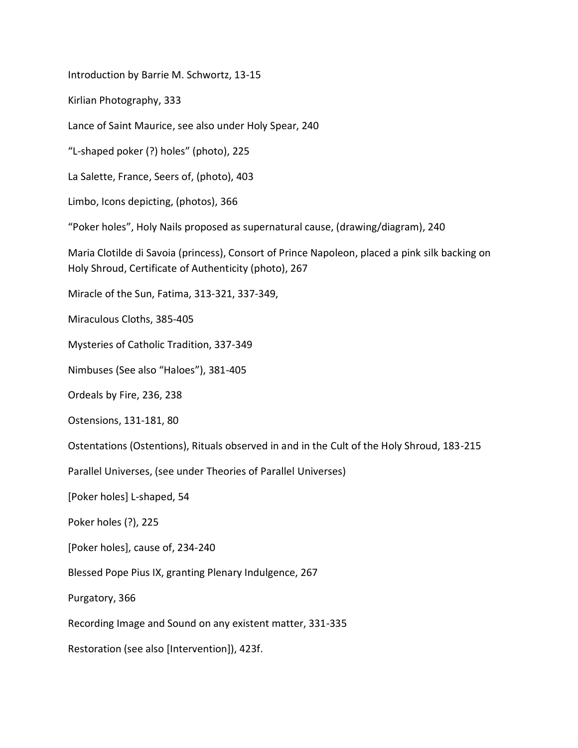Introduction by Barrie M. Schwortz, 13-15

Kirlian Photography, 333

Lance of Saint Maurice, see also under Holy Spear, 240

"L-shaped poker (?) holes" (photo), 225

La Salette, France, Seers of, (photo), 403

Limbo, Icons depicting, (photos), 366

"Poker holes", Holy Nails proposed as supernatural cause, (drawing/diagram), 240

Maria Clotilde di Savoia (princess), Consort of Prince Napoleon, placed a pink silk backing on Holy Shroud, Certificate of Authenticity (photo), 267

Miracle of the Sun, Fatima, 313-321, 337-349,

Miraculous Cloths, 385-405

Mysteries of Catholic Tradition, 337-349

Nimbuses (See also "Haloes"), 381-405

Ordeals by Fire, 236, 238

Ostensions, 131-181, 80

Ostentations (Ostentions), Rituals observed in and in the Cult of the Holy Shroud, 183-215

Parallel Universes, (see under Theories of Parallel Universes)

[Poker holes] L-shaped, 54

Poker holes (?), 225

[Poker holes], cause of, 234-240

Blessed Pope Pius IX, granting Plenary Indulgence, 267

Purgatory, 366

Recording Image and Sound on any existent matter, 331-335

Restoration (see also [Intervention]), 423f.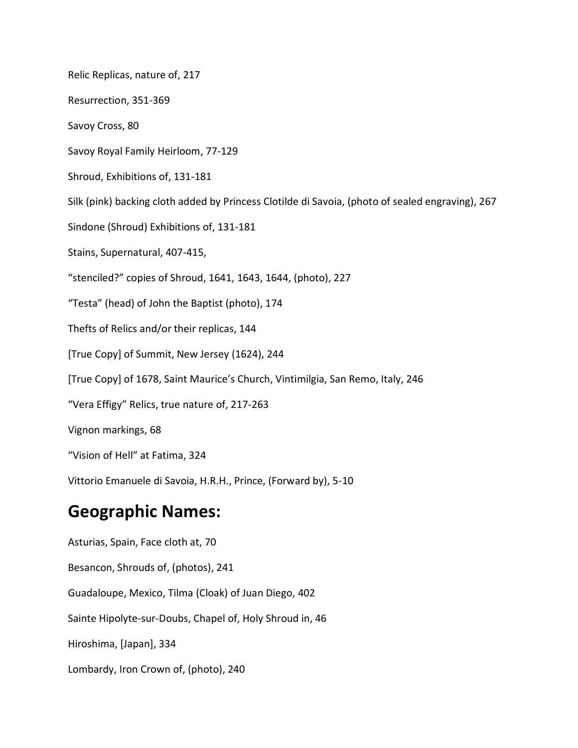Relic Replicas, nature of, 217 Resurrection, 351-369 Savoy Cross, 80 Savoy Royal Family Heirloom, 77-129 Shroud, Exhibitions of, 131-181 Silk (pink) backing cloth added by Princess Clotilde di Savoia, (photo of sealed engraving), 267 Sindone (Shroud) Exhibitions of, 131-181 Stains, Supernatural, 407-415, "stenciled?" copies of Shroud, 1641, 1643, 1644, (photo), 227 "Testa" (head) of John the Baptist (photo), 174 Thefts of Relics and/or their replicas, 144 [True Copy] of Summit, New Jersey (1624), 244 [True Copy] of 1678, Saint Maurice's Church, Vintimilgia, San Remo, Italy, 246 "Vera Effigy" Relics, true nature of, 217-263 Vignon markings, 68 "Vision of Hell" at Fatima, 324 Vittorio Emanuele di Savoia, H.R.H., Prince, (Forward by), 5-10

## **Geographic Names:**

Asturias, Spain, Face cloth at, 70 Besancon, Shrouds of, (photos), 241 Guadaloupe, Mexico, Tilma (Cloak) of Juan Diego, 402 Sainte Hipolyte-sur-Doubs, Chapel of, Holy Shroud in, 46 Hiroshima, [Japan], 334 Lombardy, Iron Crown of, (photo), 240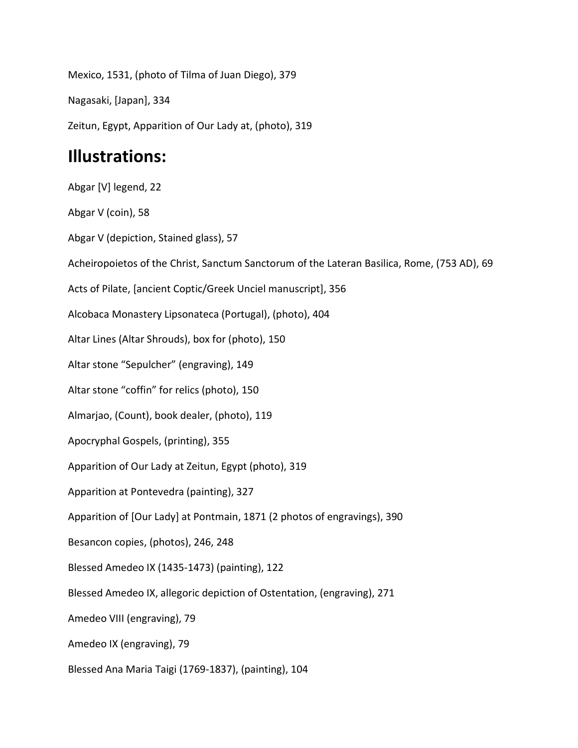Mexico, 1531, (photo of Tilma of Juan Diego), 379 Nagasaki, [Japan], 334 Zeitun, Egypt, Apparition of Our Lady at, (photo), 319 **Illustrations:** Abgar [V] legend, 22 Abgar V (coin), 58 Abgar V (depiction, Stained glass), 57 Acheiropoietos of the Christ, Sanctum Sanctorum of the Lateran Basilica, Rome, (753 AD), 69 Acts of Pilate, [ancient Coptic/Greek Unciel manuscript], 356 Alcobaca Monastery Lipsonateca (Portugal), (photo), 404 Altar Lines (Altar Shrouds), box for (photo), 150 Altar stone "Sepulcher" (engraving), 149 Altar stone "coffin" for relics (photo), 150 Almarjao, (Count), book dealer, (photo), 119 Apocryphal Gospels, (printing), 355 Apparition of Our Lady at Zeitun, Egypt (photo), 319 Apparition at Pontevedra (painting), 327 Apparition of [Our Lady] at Pontmain, 1871 (2 photos of engravings), 390 Besancon copies, (photos), 246, 248 Blessed Amedeo IX (1435-1473) (painting), 122 Blessed Amedeo IX, allegoric depiction of Ostentation, (engraving), 271 Amedeo VIII (engraving), 79

Amedeo IX (engraving), 79

Blessed Ana Maria Taigi (1769-1837), (painting), 104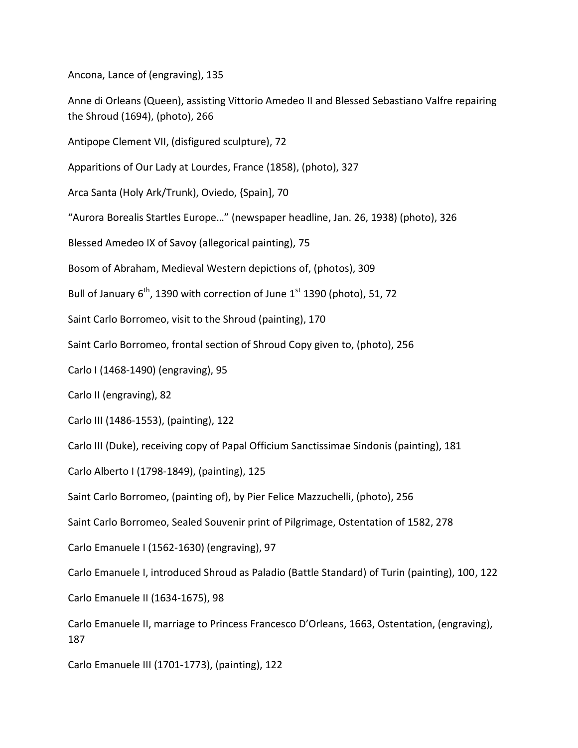Ancona, Lance of (engraving), 135

Anne di Orleans (Queen), assisting Vittorio Amedeo II and Blessed Sebastiano Valfre repairing the Shroud (1694), (photo), 266

Antipope Clement VII, (disfigured sculpture), 72

Apparitions of Our Lady at Lourdes, France (1858), (photo), 327

Arca Santa (Holy Ark/Trunk), Oviedo, {Spain], 70

"Aurora Borealis Startles Europe…" (newspaper headline, Jan. 26, 1938) (photo), 326

Blessed Amedeo IX of Savoy (allegorical painting), 75

Bosom of Abraham, Medieval Western depictions of, (photos), 309

Bull of January  $6^{th}$ , 1390 with correction of June 1st 1390 (photo), 51, 72

Saint Carlo Borromeo, visit to the Shroud (painting), 170

Saint Carlo Borromeo, frontal section of Shroud Copy given to, (photo), 256

Carlo I (1468-1490) (engraving), 95

Carlo II (engraving), 82

Carlo III (1486-1553), (painting), 122

Carlo III (Duke), receiving copy of Papal Officium Sanctissimae Sindonis (painting), 181

Carlo Alberto I (1798-1849), (painting), 125

Saint Carlo Borromeo, (painting of), by Pier Felice Mazzuchelli, (photo), 256

Saint Carlo Borromeo, Sealed Souvenir print of Pilgrimage, Ostentation of 1582, 278

Carlo Emanuele I (1562-1630) (engraving), 97

Carlo Emanuele I, introduced Shroud as Paladio (Battle Standard) of Turin (painting), 100, 122

Carlo Emanuele II (1634-1675), 98

Carlo Emanuele II, marriage to Princess Francesco D'Orleans, 1663, Ostentation, (engraving), 187

Carlo Emanuele III (1701-1773), (painting), 122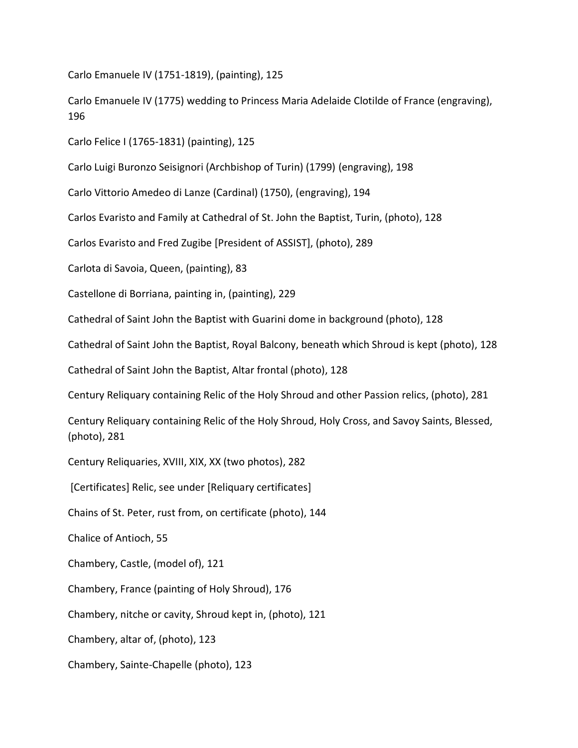Carlo Emanuele IV (1751-1819), (painting), 125

Carlo Emanuele IV (1775) wedding to Princess Maria Adelaide Clotilde of France (engraving), 196

Carlo Felice I (1765-1831) (painting), 125

Carlo Luigi Buronzo Seisignori (Archbishop of Turin) (1799) (engraving), 198

Carlo Vittorio Amedeo di Lanze (Cardinal) (1750), (engraving), 194

Carlos Evaristo and Family at Cathedral of St. John the Baptist, Turin, (photo), 128

Carlos Evaristo and Fred Zugibe [President of ASSIST], (photo), 289

Carlota di Savoia, Queen, (painting), 83

Castellone di Borriana, painting in, (painting), 229

Cathedral of Saint John the Baptist with Guarini dome in background (photo), 128

Cathedral of Saint John the Baptist, Royal Balcony, beneath which Shroud is kept (photo), 128

Cathedral of Saint John the Baptist, Altar frontal (photo), 128

Century Reliquary containing Relic of the Holy Shroud and other Passion relics, (photo), 281

Century Reliquary containing Relic of the Holy Shroud, Holy Cross, and Savoy Saints, Blessed, (photo), 281

Century Reliquaries, XVIII, XIX, XX (two photos), 282

[Certificates] Relic, see under [Reliquary certificates]

Chains of St. Peter, rust from, on certificate (photo), 144

Chalice of Antioch, 55

Chambery, Castle, (model of), 121

Chambery, France (painting of Holy Shroud), 176

Chambery, nitche or cavity, Shroud kept in, (photo), 121

Chambery, altar of, (photo), 123

Chambery, Sainte-Chapelle (photo), 123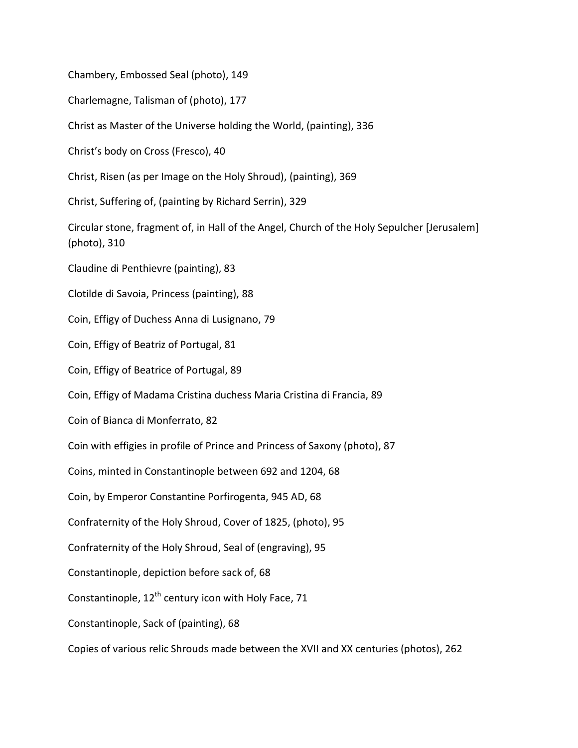Chambery, Embossed Seal (photo), 149

Charlemagne, Talisman of (photo), 177

Christ as Master of the Universe holding the World, (painting), 336

Christ's body on Cross (Fresco), 40

Christ, Risen (as per Image on the Holy Shroud), (painting), 369

Christ, Suffering of, (painting by Richard Serrin), 329

Circular stone, fragment of, in Hall of the Angel, Church of the Holy Sepulcher [Jerusalem] (photo), 310

Claudine di Penthievre (painting), 83

Clotilde di Savoia, Princess (painting), 88

Coin, Effigy of Duchess Anna di Lusignano, 79

Coin, Effigy of Beatriz of Portugal, 81

Coin, Effigy of Beatrice of Portugal, 89

Coin, Effigy of Madama Cristina duchess Maria Cristina di Francia, 89

Coin of Bianca di Monferrato, 82

Coin with effigies in profile of Prince and Princess of Saxony (photo), 87

Coins, minted in Constantinople between 692 and 1204, 68

Coin, by Emperor Constantine Porfirogenta, 945 AD, 68

Confraternity of the Holy Shroud, Cover of 1825, (photo), 95

Confraternity of the Holy Shroud, Seal of (engraving), 95

Constantinople, depiction before sack of, 68

Constantinople,  $12^{th}$  century icon with Holy Face, 71

Constantinople, Sack of (painting), 68

Copies of various relic Shrouds made between the XVII and XX centuries (photos), 262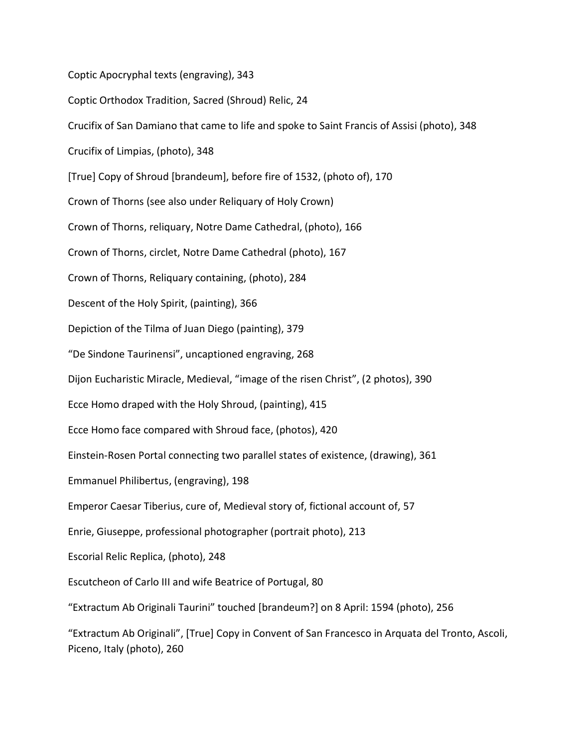Coptic Apocryphal texts (engraving), 343 Coptic Orthodox Tradition, Sacred (Shroud) Relic, 24 Crucifix of San Damiano that came to life and spoke to Saint Francis of Assisi (photo), 348 Crucifix of Limpias, (photo), 348 [True] Copy of Shroud [brandeum], before fire of 1532, (photo of), 170 Crown of Thorns (see also under Reliquary of Holy Crown) Crown of Thorns, reliquary, Notre Dame Cathedral, (photo), 166 Crown of Thorns, circlet, Notre Dame Cathedral (photo), 167 Crown of Thorns, Reliquary containing, (photo), 284 Descent of the Holy Spirit, (painting), 366 Depiction of the Tilma of Juan Diego (painting), 379 "De Sindone Taurinensi", uncaptioned engraving, 268 Dijon Eucharistic Miracle, Medieval, "image of the risen Christ", (2 photos), 390 Ecce Homo draped with the Holy Shroud, (painting), 415 Ecce Homo face compared with Shroud face, (photos), 420 Einstein-Rosen Portal connecting two parallel states of existence, (drawing), 361 Emmanuel Philibertus, (engraving), 198 Emperor Caesar Tiberius, cure of, Medieval story of, fictional account of, 57 Enrie, Giuseppe, professional photographer (portrait photo), 213 Escorial Relic Replica, (photo), 248 Escutcheon of Carlo III and wife Beatrice of Portugal, 80 "Extractum Ab Originali Taurini" touched [brandeum?] on 8 April: 1594 (photo), 256 "Extractum Ab Originali", [True] Copy in Convent of San Francesco in Arquata del Tronto, Ascoli, Piceno, Italy (photo), 260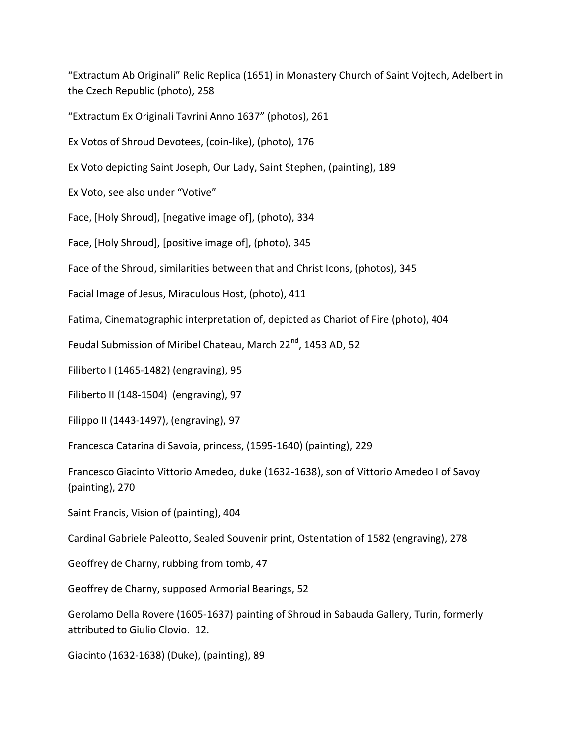"Extractum Ab Originali" Relic Replica (1651) in Monastery Church of Saint Vojtech, Adelbert in the Czech Republic (photo), 258

"Extractum Ex Originali Tavrini Anno 1637" (photos), 261

Ex Votos of Shroud Devotees, (coin-like), (photo), 176

Ex Voto depicting Saint Joseph, Our Lady, Saint Stephen, (painting), 189

Ex Voto, see also under "Votive"

Face, [Holy Shroud], [negative image of], (photo), 334

Face, [Holy Shroud], [positive image of], (photo), 345

Face of the Shroud, similarities between that and Christ Icons, (photos), 345

Facial Image of Jesus, Miraculous Host, (photo), 411

Fatima, Cinematographic interpretation of, depicted as Chariot of Fire (photo), 404

Feudal Submission of Miribel Chateau, March 22<sup>nd</sup>, 1453 AD, 52

Filiberto I (1465-1482) (engraving), 95

Filiberto II (148-1504) (engraving), 97

Filippo II (1443-1497), (engraving), 97

Francesca Catarina di Savoia, princess, (1595-1640) (painting), 229

Francesco Giacinto Vittorio Amedeo, duke (1632-1638), son of Vittorio Amedeo I of Savoy (painting), 270

Saint Francis, Vision of (painting), 404

Cardinal Gabriele Paleotto, Sealed Souvenir print, Ostentation of 1582 (engraving), 278

Geoffrey de Charny, rubbing from tomb, 47

Geoffrey de Charny, supposed Armorial Bearings, 52

Gerolamo Della Rovere (1605-1637) painting of Shroud in Sabauda Gallery, Turin, formerly attributed to Giulio Clovio. 12.

Giacinto (1632-1638) (Duke), (painting), 89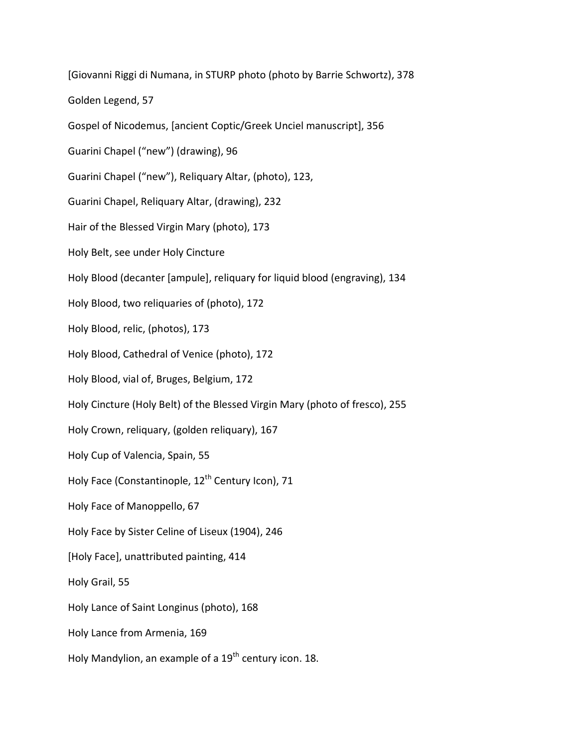[Giovanni Riggi di Numana, in STURP photo (photo by Barrie Schwortz), 378 Golden Legend, 57 Gospel of Nicodemus, [ancient Coptic/Greek Unciel manuscript], 356 Guarini Chapel ("new") (drawing), 96 Guarini Chapel ("new"), Reliquary Altar, (photo), 123, Guarini Chapel, Reliquary Altar, (drawing), 232 Hair of the Blessed Virgin Mary (photo), 173 Holy Belt, see under Holy Cincture Holy Blood (decanter [ampule], reliquary for liquid blood (engraving), 134 Holy Blood, two reliquaries of (photo), 172 Holy Blood, relic, (photos), 173 Holy Blood, Cathedral of Venice (photo), 172 Holy Blood, vial of, Bruges, Belgium, 172 Holy Cincture (Holy Belt) of the Blessed Virgin Mary (photo of fresco), 255 Holy Crown, reliquary, (golden reliquary), 167 Holy Cup of Valencia, Spain, 55 Holy Face (Constantinople, 12<sup>th</sup> Century Icon), 71 Holy Face of Manoppello, 67 Holy Face by Sister Celine of Liseux (1904), 246 [Holy Face], unattributed painting, 414 Holy Grail, 55 Holy Lance of Saint Longinus (photo), 168 Holy Lance from Armenia, 169 Holy Mandylion, an example of a 19<sup>th</sup> century icon. 18.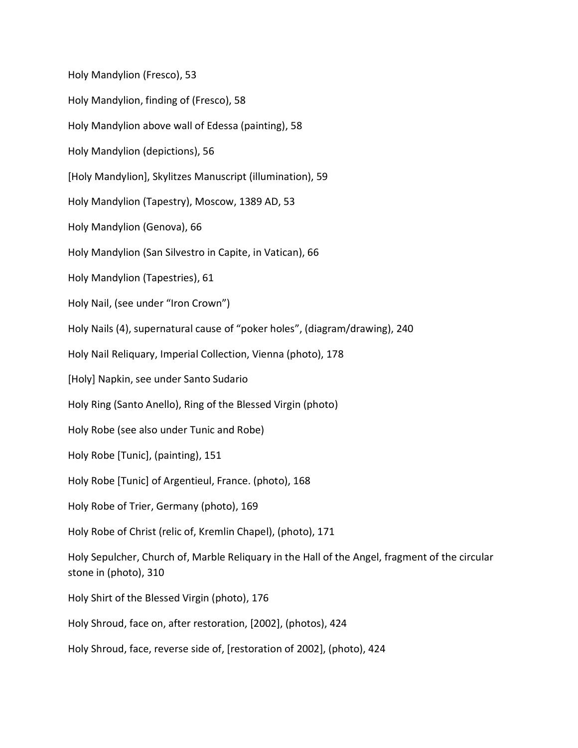Holy Mandylion (Fresco), 53 Holy Mandylion, finding of (Fresco), 58 Holy Mandylion above wall of Edessa (painting), 58 Holy Mandylion (depictions), 56 [Holy Mandylion], Skylitzes Manuscript (illumination), 59 Holy Mandylion (Tapestry), Moscow, 1389 AD, 53 Holy Mandylion (Genova), 66 Holy Mandylion (San Silvestro in Capite, in Vatican), 66 Holy Mandylion (Tapestries), 61 Holy Nail, (see under "Iron Crown") Holy Nails (4), supernatural cause of "poker holes", (diagram/drawing), 240 Holy Nail Reliquary, Imperial Collection, Vienna (photo), 178 [Holy] Napkin, see under Santo Sudario Holy Ring (Santo Anello), Ring of the Blessed Virgin (photo) Holy Robe (see also under Tunic and Robe) Holy Robe [Tunic], (painting), 151 Holy Robe [Tunic] of Argentieul, France. (photo), 168 Holy Robe of Trier, Germany (photo), 169 Holy Robe of Christ (relic of, Kremlin Chapel), (photo), 171 Holy Sepulcher, Church of, Marble Reliquary in the Hall of the Angel, fragment of the circular stone in (photo), 310 Holy Shirt of the Blessed Virgin (photo), 176 Holy Shroud, face on, after restoration, [2002], (photos), 424 Holy Shroud, face, reverse side of, [restoration of 2002], (photo), 424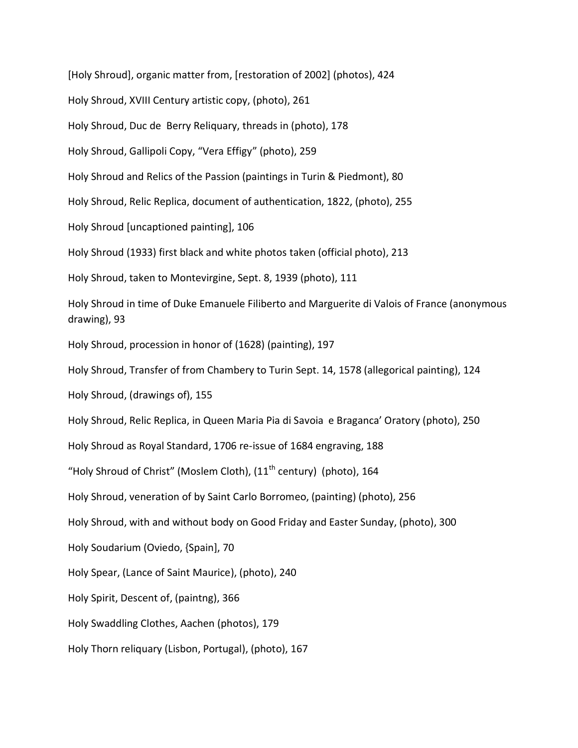[Holy Shroud], organic matter from, [restoration of 2002] (photos), 424 Holy Shroud, XVIII Century artistic copy, (photo), 261 Holy Shroud, Duc de Berry Reliquary, threads in (photo), 178 Holy Shroud, Gallipoli Copy, "Vera Effigy" (photo), 259 Holy Shroud and Relics of the Passion (paintings in Turin & Piedmont), 80 Holy Shroud, Relic Replica, document of authentication, 1822, (photo), 255 Holy Shroud [uncaptioned painting], 106 Holy Shroud (1933) first black and white photos taken (official photo), 213 Holy Shroud, taken to Montevirgine, Sept. 8, 1939 (photo), 111 Holy Shroud in time of Duke Emanuele Filiberto and Marguerite di Valois of France (anonymous drawing), 93 Holy Shroud, procession in honor of (1628) (painting), 197 Holy Shroud, Transfer of from Chambery to Turin Sept. 14, 1578 (allegorical painting), 124 Holy Shroud, (drawings of), 155 Holy Shroud, Relic Replica, in Queen Maria Pia di Savoia e Braganca' Oratory (photo), 250 Holy Shroud as Royal Standard, 1706 re-issue of 1684 engraving, 188 "Holy Shroud of Christ" (Moslem Cloth),  $(11<sup>th</sup>$  century) (photo), 164 Holy Shroud, veneration of by Saint Carlo Borromeo, (painting) (photo), 256 Holy Shroud, with and without body on Good Friday and Easter Sunday, (photo), 300 Holy Soudarium (Oviedo, {Spain], 70 Holy Spear, (Lance of Saint Maurice), (photo), 240 Holy Spirit, Descent of, (paintng), 366 Holy Swaddling Clothes, Aachen (photos), 179 Holy Thorn reliquary (Lisbon, Portugal), (photo), 167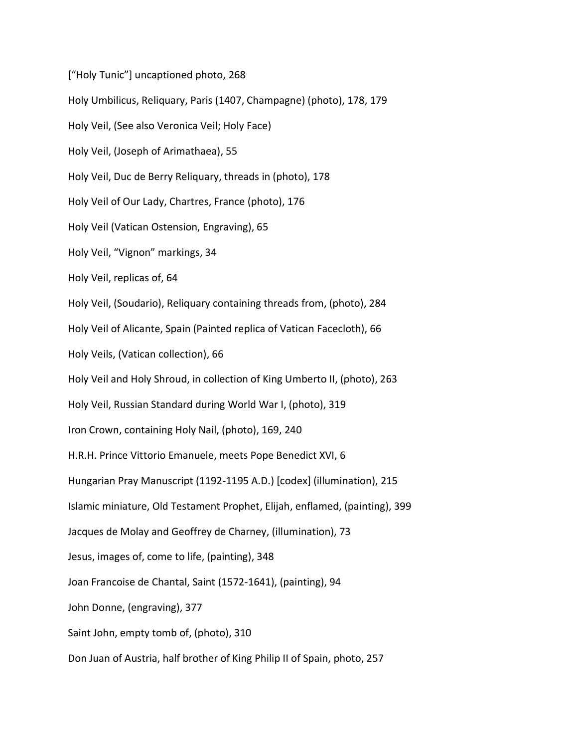["Holy Tunic"] uncaptioned photo, 268 Holy Umbilicus, Reliquary, Paris (1407, Champagne) (photo), 178, 179 Holy Veil, (See also Veronica Veil; Holy Face) Holy Veil, (Joseph of Arimathaea), 55 Holy Veil, Duc de Berry Reliquary, threads in (photo), 178 Holy Veil of Our Lady, Chartres, France (photo), 176 Holy Veil (Vatican Ostension, Engraving), 65 Holy Veil, "Vignon" markings, 34 Holy Veil, replicas of, 64 Holy Veil, (Soudario), Reliquary containing threads from, (photo), 284 Holy Veil of Alicante, Spain (Painted replica of Vatican Facecloth), 66 Holy Veils, (Vatican collection), 66 Holy Veil and Holy Shroud, in collection of King Umberto II, (photo), 263 Holy Veil, Russian Standard during World War I, (photo), 319 Iron Crown, containing Holy Nail, (photo), 169, 240 H.R.H. Prince Vittorio Emanuele, meets Pope Benedict XVI, 6 Hungarian Pray Manuscript (1192-1195 A.D.) [codex] (illumination), 215 Islamic miniature, Old Testament Prophet, Elijah, enflamed, (painting), 399 Jacques de Molay and Geoffrey de Charney, (illumination), 73 Jesus, images of, come to life, (painting), 348 Joan Francoise de Chantal, Saint (1572-1641), (painting), 94 John Donne, (engraving), 377 Saint John, empty tomb of, (photo), 310 Don Juan of Austria, half brother of King Philip II of Spain, photo, 257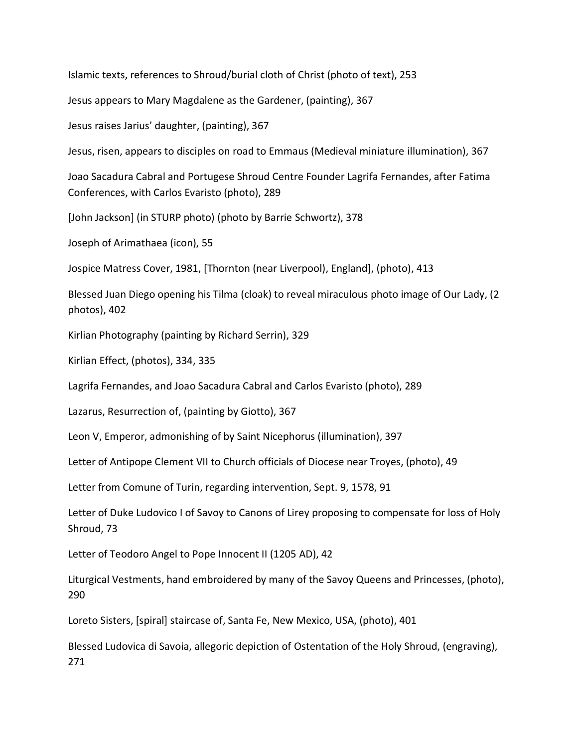Islamic texts, references to Shroud/burial cloth of Christ (photo of text), 253

Jesus appears to Mary Magdalene as the Gardener, (painting), 367

Jesus raises Jarius' daughter, (painting), 367

Jesus, risen, appears to disciples on road to Emmaus (Medieval miniature illumination), 367

Joao Sacadura Cabral and Portugese Shroud Centre Founder Lagrifa Fernandes, after Fatima Conferences, with Carlos Evaristo (photo), 289

[John Jackson] (in STURP photo) (photo by Barrie Schwortz), 378

Joseph of Arimathaea (icon), 55

Jospice Matress Cover, 1981, [Thornton (near Liverpool), England], (photo), 413

Blessed Juan Diego opening his Tilma (cloak) to reveal miraculous photo image of Our Lady, (2 photos), 402

Kirlian Photography (painting by Richard Serrin), 329

Kirlian Effect, (photos), 334, 335

Lagrifa Fernandes, and Joao Sacadura Cabral and Carlos Evaristo (photo), 289

Lazarus, Resurrection of, (painting by Giotto), 367

Leon V, Emperor, admonishing of by Saint Nicephorus (illumination), 397

Letter of Antipope Clement VII to Church officials of Diocese near Troyes, (photo), 49

Letter from Comune of Turin, regarding intervention, Sept. 9, 1578, 91

Letter of Duke Ludovico I of Savoy to Canons of Lirey proposing to compensate for loss of Holy Shroud, 73

Letter of Teodoro Angel to Pope Innocent II (1205 AD), 42

Liturgical Vestments, hand embroidered by many of the Savoy Queens and Princesses, (photo), 290

Loreto Sisters, [spiral] staircase of, Santa Fe, New Mexico, USA, (photo), 401

Blessed Ludovica di Savoia, allegoric depiction of Ostentation of the Holy Shroud, (engraving), 271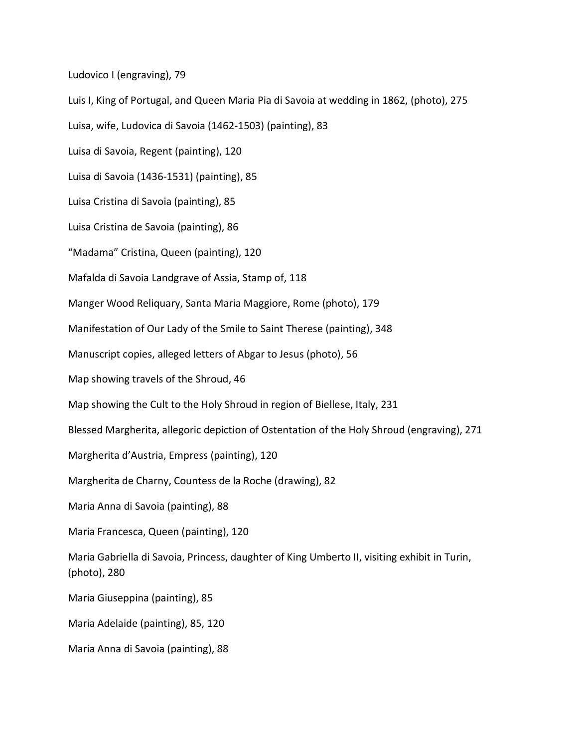Ludovico I (engraving), 79

Luis I, King of Portugal, and Queen Maria Pia di Savoia at wedding in 1862, (photo), 275 Luisa, wife, Ludovica di Savoia (1462-1503) (painting), 83 Luisa di Savoia, Regent (painting), 120 Luisa di Savoia (1436-1531) (painting), 85 Luisa Cristina di Savoia (painting), 85 Luisa Cristina de Savoia (painting), 86 "Madama" Cristina, Queen (painting), 120 Mafalda di Savoia Landgrave of Assia, Stamp of, 118 Manger Wood Reliquary, Santa Maria Maggiore, Rome (photo), 179 Manifestation of Our Lady of the Smile to Saint Therese (painting), 348 Manuscript copies, alleged letters of Abgar to Jesus (photo), 56 Map showing travels of the Shroud, 46 Map showing the Cult to the Holy Shroud in region of Biellese, Italy, 231 Blessed Margherita, allegoric depiction of Ostentation of the Holy Shroud (engraving), 271 Margherita d'Austria, Empress (painting), 120 Margherita de Charny, Countess de la Roche (drawing), 82 Maria Anna di Savoia (painting), 88 Maria Francesca, Queen (painting), 120 Maria Gabriella di Savoia, Princess, daughter of King Umberto II, visiting exhibit in Turin, (photo), 280 Maria Giuseppina (painting), 85 Maria Adelaide (painting), 85, 120 Maria Anna di Savoia (painting), 88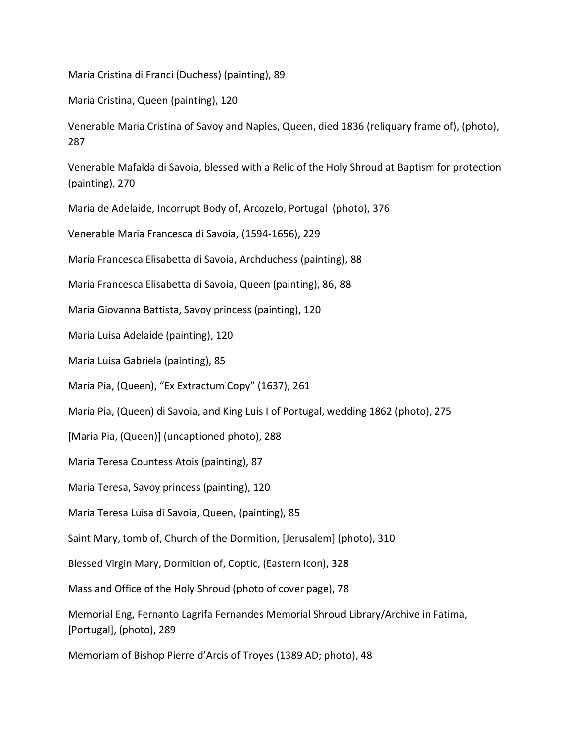Maria Cristina di Franci (Duchess) (painting), 89

Maria Cristina, Queen (painting), 120

Venerable Maria Cristina of Savoy and Naples, Queen, died 1836 (reliquary frame of), (photo), 287

Venerable Mafalda di Savoia, blessed with a Relic of the Holy Shroud at Baptism for protection (painting), 270

Maria de Adelaide, Incorrupt Body of, Arcozelo, Portugal (photo), 376

Venerable Maria Francesca di Savoia, (1594-1656), 229

Maria Francesca Elisabetta di Savoia, Archduchess (painting), 88

Maria Francesca Elisabetta di Savoia, Queen (painting), 86, 88

Maria Giovanna Battista, Savoy princess (painting), 120

Maria Luisa Adelaide (painting), 120

Maria Luisa Gabriela (painting), 85

Maria Pia, (Queen), "Ex Extractum Copy" (1637), 261

Maria Pia, (Queen) di Savoia, and King Luis I of Portugal, wedding 1862 (photo), 275

[Maria Pia, (Queen)] (uncaptioned photo), 288

Maria Teresa Countess Atois (painting), 87

Maria Teresa, Savoy princess (painting), 120

Maria Teresa Luisa di Savoia, Queen, (painting), 85

Saint Mary, tomb of, Church of the Dormition, [Jerusalem] (photo), 310

Blessed Virgin Mary, Dormition of, Coptic, (Eastern Icon), 328

Mass and Office of the Holy Shroud (photo of cover page), 78

Memorial Eng, Fernanto Lagrifa Fernandes Memorial Shroud Library/Archive in Fatima, [Portugal], (photo), 289

Memoriam of Bishop Pierre d'Arcis of Troyes (1389 AD; photo), 48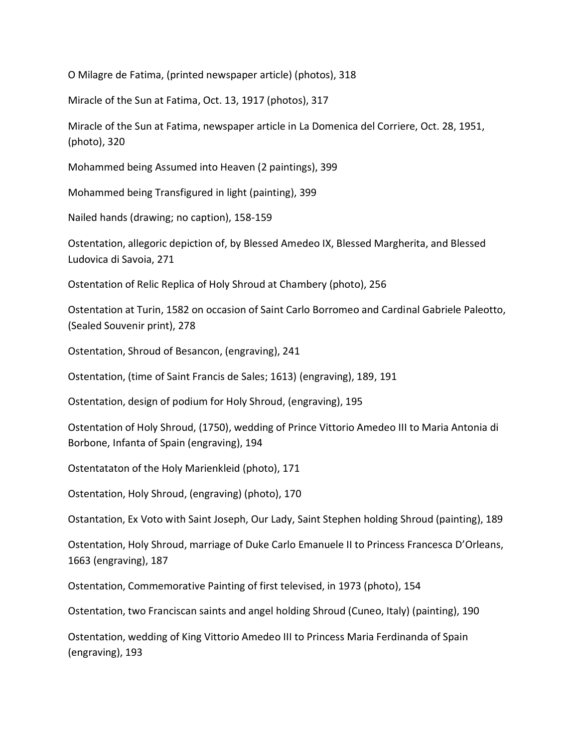O Milagre de Fatima, (printed newspaper article) (photos), 318

Miracle of the Sun at Fatima, Oct. 13, 1917 (photos), 317

Miracle of the Sun at Fatima, newspaper article in La Domenica del Corriere, Oct. 28, 1951, (photo), 320

Mohammed being Assumed into Heaven (2 paintings), 399

Mohammed being Transfigured in light (painting), 399

Nailed hands (drawing; no caption), 158-159

Ostentation, allegoric depiction of, by Blessed Amedeo IX, Blessed Margherita, and Blessed Ludovica di Savoia, 271

Ostentation of Relic Replica of Holy Shroud at Chambery (photo), 256

Ostentation at Turin, 1582 on occasion of Saint Carlo Borromeo and Cardinal Gabriele Paleotto, (Sealed Souvenir print), 278

Ostentation, Shroud of Besancon, (engraving), 241

Ostentation, (time of Saint Francis de Sales; 1613) (engraving), 189, 191

Ostentation, design of podium for Holy Shroud, (engraving), 195

Ostentation of Holy Shroud, (1750), wedding of Prince Vittorio Amedeo III to Maria Antonia di Borbone, Infanta of Spain (engraving), 194

Ostentataton of the Holy Marienkleid (photo), 171

Ostentation, Holy Shroud, (engraving) (photo), 170

Ostantation, Ex Voto with Saint Joseph, Our Lady, Saint Stephen holding Shroud (painting), 189

Ostentation, Holy Shroud, marriage of Duke Carlo Emanuele II to Princess Francesca D'Orleans, 1663 (engraving), 187

Ostentation, Commemorative Painting of first televised, in 1973 (photo), 154

Ostentation, two Franciscan saints and angel holding Shroud (Cuneo, Italy) (painting), 190

Ostentation, wedding of King Vittorio Amedeo III to Princess Maria Ferdinanda of Spain (engraving), 193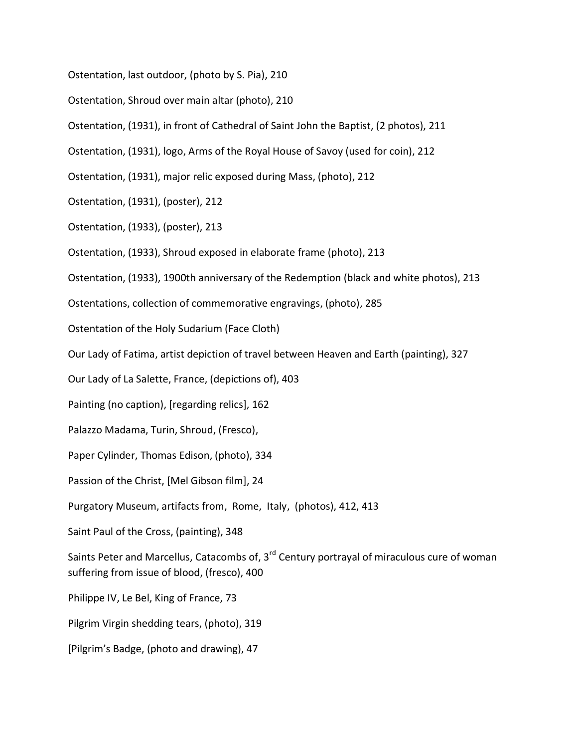Ostentation, last outdoor, (photo by S. Pia), 210

Ostentation, Shroud over main altar (photo), 210

Ostentation, (1931), in front of Cathedral of Saint John the Baptist, (2 photos), 211

Ostentation, (1931), logo, Arms of the Royal House of Savoy (used for coin), 212

Ostentation, (1931), major relic exposed during Mass, (photo), 212

Ostentation, (1931), (poster), 212

Ostentation, (1933), (poster), 213

Ostentation, (1933), Shroud exposed in elaborate frame (photo), 213

Ostentation, (1933), 1900th anniversary of the Redemption (black and white photos), 213

Ostentations, collection of commemorative engravings, (photo), 285

Ostentation of the Holy Sudarium (Face Cloth)

Our Lady of Fatima, artist depiction of travel between Heaven and Earth (painting), 327

Our Lady of La Salette, France, (depictions of), 403

Painting (no caption), [regarding relics], 162

Palazzo Madama, Turin, Shroud, (Fresco),

Paper Cylinder, Thomas Edison, (photo), 334

Passion of the Christ, [Mel Gibson film], 24

Purgatory Museum, artifacts from, Rome, Italy, (photos), 412, 413

Saint Paul of the Cross, (painting), 348

Saints Peter and Marcellus, Catacombs of,  $3<sup>rd</sup>$  Century portrayal of miraculous cure of woman suffering from issue of blood, (fresco), 400

Philippe IV, Le Bel, King of France, 73

Pilgrim Virgin shedding tears, (photo), 319

[Pilgrim's Badge, (photo and drawing), 47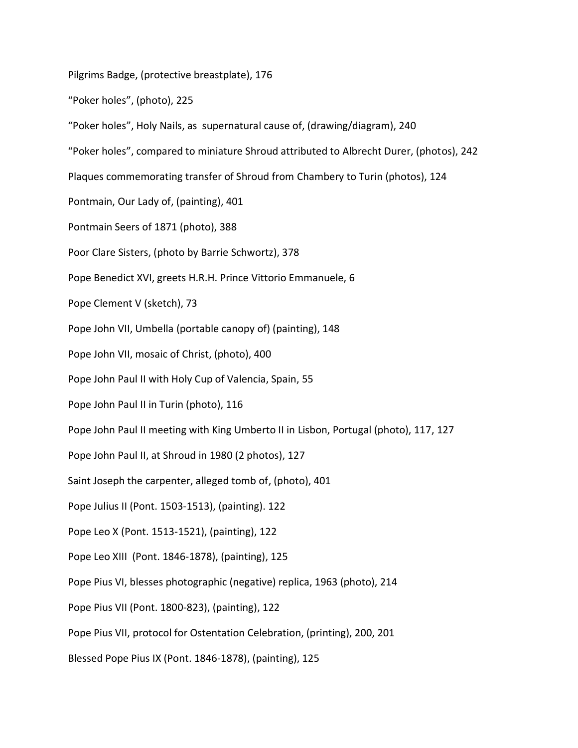Pilgrims Badge, (protective breastplate), 176

"Poker holes", (photo), 225

"Poker holes", Holy Nails, as supernatural cause of, (drawing/diagram), 240

"Poker holes", compared to miniature Shroud attributed to Albrecht Durer, (photos), 242

Plaques commemorating transfer of Shroud from Chambery to Turin (photos), 124

Pontmain, Our Lady of, (painting), 401

Pontmain Seers of 1871 (photo), 388

Poor Clare Sisters, (photo by Barrie Schwortz), 378

Pope Benedict XVI, greets H.R.H. Prince Vittorio Emmanuele, 6

Pope Clement V (sketch), 73

Pope John VII, Umbella (portable canopy of) (painting), 148

Pope John VII, mosaic of Christ, (photo), 400

Pope John Paul II with Holy Cup of Valencia, Spain, 55

Pope John Paul II in Turin (photo), 116

Pope John Paul II meeting with King Umberto II in Lisbon, Portugal (photo), 117, 127

Pope John Paul II, at Shroud in 1980 (2 photos), 127

Saint Joseph the carpenter, alleged tomb of, (photo), 401

Pope Julius II (Pont. 1503-1513), (painting). 122

Pope Leo X (Pont. 1513-1521), (painting), 122

Pope Leo XIII (Pont. 1846-1878), (painting), 125

Pope Pius VI, blesses photographic (negative) replica, 1963 (photo), 214

Pope Pius VII (Pont. 1800-823), (painting), 122

Pope Pius VII, protocol for Ostentation Celebration, (printing), 200, 201

Blessed Pope Pius IX (Pont. 1846-1878), (painting), 125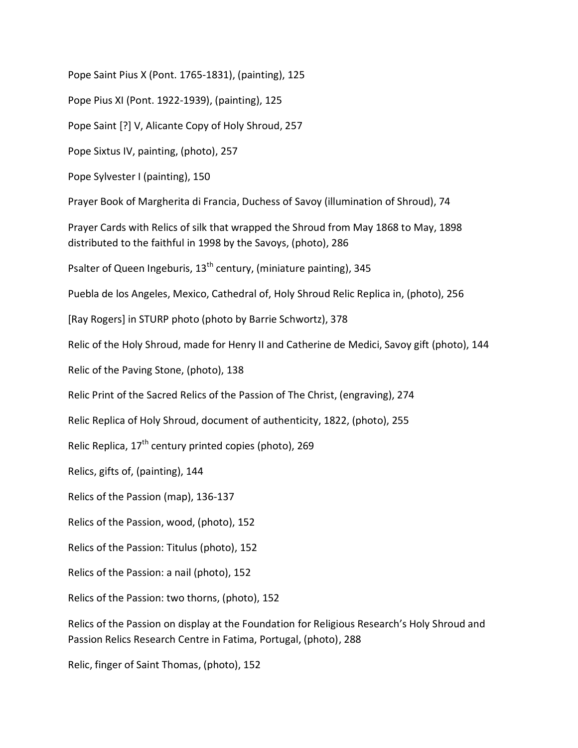Pope Saint Pius X (Pont. 1765-1831), (painting), 125

Pope Pius XI (Pont. 1922-1939), (painting), 125

Pope Saint [?] V, Alicante Copy of Holy Shroud, 257

Pope Sixtus IV, painting, (photo), 257

Pope Sylvester I (painting), 150

Prayer Book of Margherita di Francia, Duchess of Savoy (illumination of Shroud), 74

Prayer Cards with Relics of silk that wrapped the Shroud from May 1868 to May, 1898 distributed to the faithful in 1998 by the Savoys, (photo), 286

Psalter of Queen Ingeburis,  $13<sup>th</sup>$  century, (miniature painting), 345

Puebla de los Angeles, Mexico, Cathedral of, Holy Shroud Relic Replica in, (photo), 256

[Ray Rogers] in STURP photo (photo by Barrie Schwortz), 378

Relic of the Holy Shroud, made for Henry II and Catherine de Medici, Savoy gift (photo), 144

Relic of the Paving Stone, (photo), 138

Relic Print of the Sacred Relics of the Passion of The Christ, (engraving), 274

Relic Replica of Holy Shroud, document of authenticity, 1822, (photo), 255

Relic Replica,  $17<sup>th</sup>$  century printed copies (photo), 269

Relics, gifts of, (painting), 144

Relics of the Passion (map), 136-137

Relics of the Passion, wood, (photo), 152

Relics of the Passion: Titulus (photo), 152

Relics of the Passion: a nail (photo), 152

Relics of the Passion: two thorns, (photo), 152

Relics of the Passion on display at the Foundation for Religious Research's Holy Shroud and Passion Relics Research Centre in Fatima, Portugal, (photo), 288

Relic, finger of Saint Thomas, (photo), 152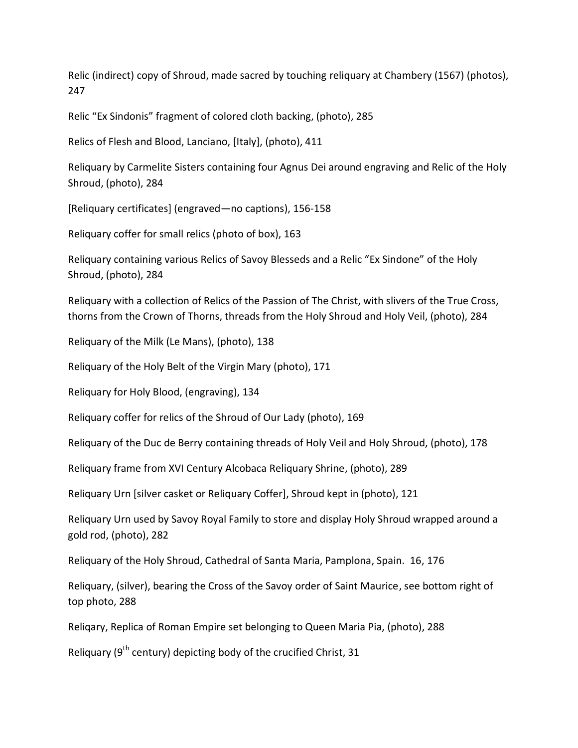Relic (indirect) copy of Shroud, made sacred by touching reliquary at Chambery (1567) (photos), 247

Relic "Ex Sindonis" fragment of colored cloth backing, (photo), 285

Relics of Flesh and Blood, Lanciano, [Italy], (photo), 411

Reliquary by Carmelite Sisters containing four Agnus Dei around engraving and Relic of the Holy Shroud, (photo), 284

[Reliquary certificates] (engraved—no captions), 156-158

Reliquary coffer for small relics (photo of box), 163

Reliquary containing various Relics of Savoy Blesseds and a Relic "Ex Sindone" of the Holy Shroud, (photo), 284

Reliquary with a collection of Relics of the Passion of The Christ, with slivers of the True Cross, thorns from the Crown of Thorns, threads from the Holy Shroud and Holy Veil, (photo), 284

Reliquary of the Milk (Le Mans), (photo), 138

Reliquary of the Holy Belt of the Virgin Mary (photo), 171

Reliquary for Holy Blood, (engraving), 134

Reliquary coffer for relics of the Shroud of Our Lady (photo), 169

Reliquary of the Duc de Berry containing threads of Holy Veil and Holy Shroud, (photo), 178

Reliquary frame from XVI Century Alcobaca Reliquary Shrine, (photo), 289

Reliquary Urn [silver casket or Reliquary Coffer], Shroud kept in (photo), 121

Reliquary Urn used by Savoy Royal Family to store and display Holy Shroud wrapped around a gold rod, (photo), 282

Reliquary of the Holy Shroud, Cathedral of Santa Maria, Pamplona, Spain. 16, 176

Reliquary, (silver), bearing the Cross of the Savoy order of Saint Maurice, see bottom right of top photo, 288

Reliqary, Replica of Roman Empire set belonging to Queen Maria Pia, (photo), 288

Reliquary ( $9<sup>th</sup>$  century) depicting body of the crucified Christ, 31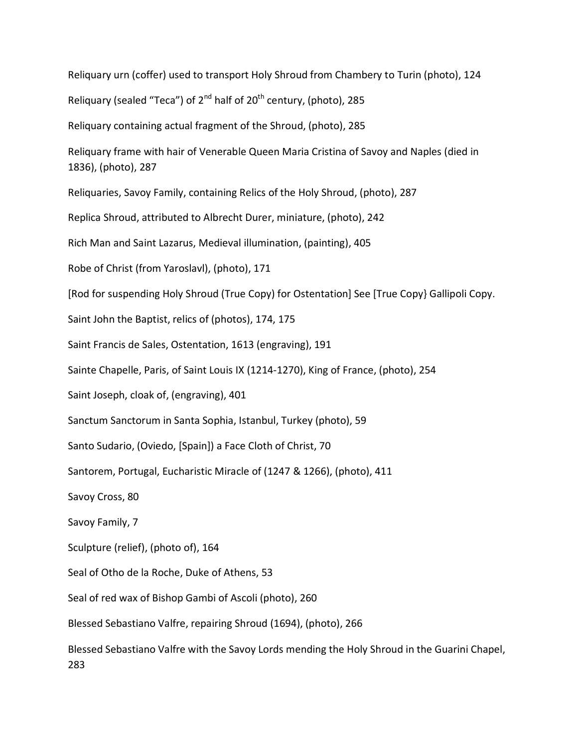Reliquary urn (coffer) used to transport Holy Shroud from Chambery to Turin (photo), 124 Reliquary (sealed "Teca") of  $2^{nd}$  half of  $20^{th}$  century, (photo), 285 Reliquary containing actual fragment of the Shroud, (photo), 285 Reliquary frame with hair of Venerable Queen Maria Cristina of Savoy and Naples (died in 1836), (photo), 287 Reliquaries, Savoy Family, containing Relics of the Holy Shroud, (photo), 287 Replica Shroud, attributed to Albrecht Durer, miniature, (photo), 242 Rich Man and Saint Lazarus, Medieval illumination, (painting), 405 Robe of Christ (from Yaroslavl), (photo), 171 [Rod for suspending Holy Shroud (True Copy) for Ostentation] See [True Copy} Gallipoli Copy. Saint John the Baptist, relics of (photos), 174, 175 Saint Francis de Sales, Ostentation, 1613 (engraving), 191 Sainte Chapelle, Paris, of Saint Louis IX (1214-1270), King of France, (photo), 254 Saint Joseph, cloak of, (engraving), 401 Sanctum Sanctorum in Santa Sophia, Istanbul, Turkey (photo), 59 Santo Sudario, (Oviedo, [Spain]) a Face Cloth of Christ, 70 Santorem, Portugal, Eucharistic Miracle of (1247 & 1266), (photo), 411 Savoy Cross, 80 Savoy Family, 7 Sculpture (relief), (photo of), 164 Seal of Otho de la Roche, Duke of Athens, 53 Seal of red wax of Bishop Gambi of Ascoli (photo), 260 Blessed Sebastiano Valfre, repairing Shroud (1694), (photo), 266 Blessed Sebastiano Valfre with the Savoy Lords mending the Holy Shroud in the Guarini Chapel, 283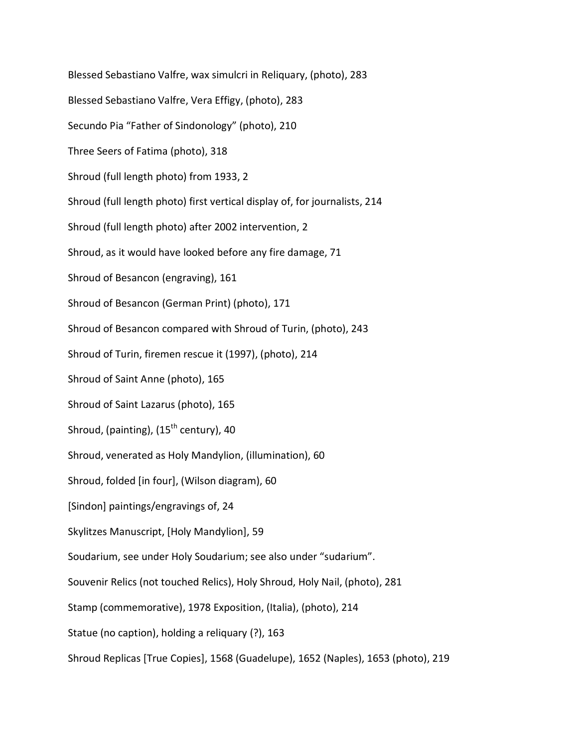Blessed Sebastiano Valfre, wax simulcri in Reliquary, (photo), 283 Blessed Sebastiano Valfre, Vera Effigy, (photo), 283 Secundo Pia "Father of Sindonology" (photo), 210 Three Seers of Fatima (photo), 318 Shroud (full length photo) from 1933, 2 Shroud (full length photo) first vertical display of, for journalists, 214 Shroud (full length photo) after 2002 intervention, 2 Shroud, as it would have looked before any fire damage, 71 Shroud of Besancon (engraving), 161 Shroud of Besancon (German Print) (photo), 171 Shroud of Besancon compared with Shroud of Turin, (photo), 243 Shroud of Turin, firemen rescue it (1997), (photo), 214 Shroud of Saint Anne (photo), 165 Shroud of Saint Lazarus (photo), 165 Shroud, (painting),  $(15<sup>th</sup>$  century), 40 Shroud, venerated as Holy Mandylion, (illumination), 60 Shroud, folded [in four], (Wilson diagram), 60 [Sindon] paintings/engravings of, 24 Skylitzes Manuscript, [Holy Mandylion], 59 Soudarium, see under Holy Soudarium; see also under "sudarium". Souvenir Relics (not touched Relics), Holy Shroud, Holy Nail, (photo), 281 Stamp (commemorative), 1978 Exposition, (Italia), (photo), 214 Statue (no caption), holding a reliquary (?), 163 Shroud Replicas [True Copies], 1568 (Guadelupe), 1652 (Naples), 1653 (photo), 219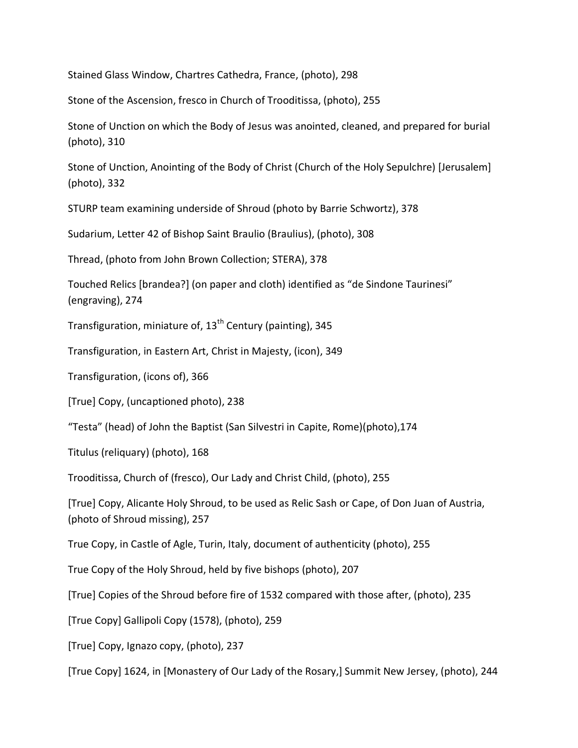Stained Glass Window, Chartres Cathedra, France, (photo), 298

Stone of the Ascension, fresco in Church of Trooditissa, (photo), 255

Stone of Unction on which the Body of Jesus was anointed, cleaned, and prepared for burial (photo), 310

Stone of Unction, Anointing of the Body of Christ (Church of the Holy Sepulchre) [Jerusalem] (photo), 332

STURP team examining underside of Shroud (photo by Barrie Schwortz), 378

Sudarium, Letter 42 of Bishop Saint Braulio (Braulius), (photo), 308

Thread, (photo from John Brown Collection; STERA), 378

Touched Relics [brandea?] (on paper and cloth) identified as "de Sindone Taurinesi" (engraving), 274

Transfiguration, miniature of,  $13<sup>th</sup>$  Century (painting), 345

Transfiguration, in Eastern Art, Christ in Majesty, (icon), 349

Transfiguration, (icons of), 366

[True] Copy, (uncaptioned photo), 238

"Testa" (head) of John the Baptist (San Silvestri in Capite, Rome)(photo),174

Titulus (reliquary) (photo), 168

Trooditissa, Church of (fresco), Our Lady and Christ Child, (photo), 255

[True] Copy, Alicante Holy Shroud, to be used as Relic Sash or Cape, of Don Juan of Austria, (photo of Shroud missing), 257

True Copy, in Castle of Agle, Turin, Italy, document of authenticity (photo), 255

True Copy of the Holy Shroud, held by five bishops (photo), 207

[True] Copies of the Shroud before fire of 1532 compared with those after, (photo), 235

[True Copy] Gallipoli Copy (1578), (photo), 259

[True] Copy, Ignazo copy, (photo), 237

[True Copy] 1624, in [Monastery of Our Lady of the Rosary,] Summit New Jersey, (photo), 244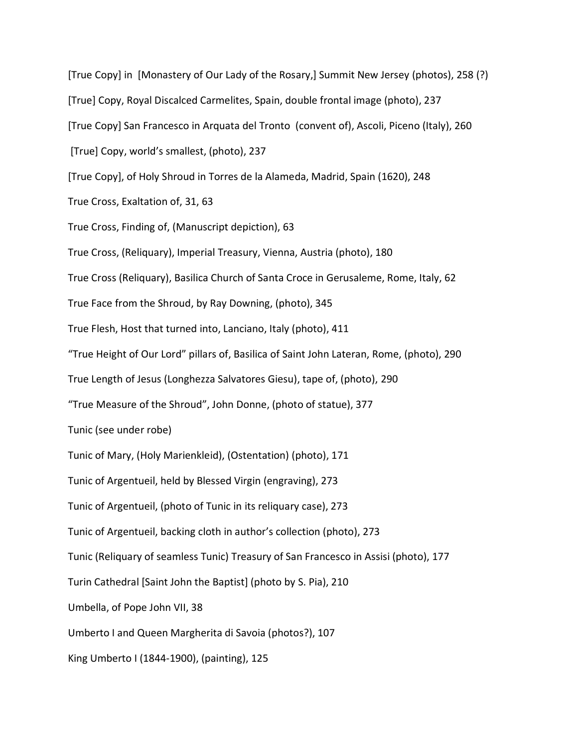[True Copy] in [Monastery of Our Lady of the Rosary,] Summit New Jersey (photos), 258 (?) [True] Copy, Royal Discalced Carmelites, Spain, double frontal image (photo), 237 [True Copy] San Francesco in Arquata del Tronto (convent of), Ascoli, Piceno (Italy), 260 [True] Copy, world's smallest, (photo), 237 [True Copy], of Holy Shroud in Torres de la Alameda, Madrid, Spain (1620), 248 True Cross, Exaltation of, 31, 63 True Cross, Finding of, (Manuscript depiction), 63 True Cross, (Reliquary), Imperial Treasury, Vienna, Austria (photo), 180 True Cross (Reliquary), Basilica Church of Santa Croce in Gerusaleme, Rome, Italy, 62 True Face from the Shroud, by Ray Downing, (photo), 345 True Flesh, Host that turned into, Lanciano, Italy (photo), 411 "True Height of Our Lord" pillars of, Basilica of Saint John Lateran, Rome, (photo), 290 True Length of Jesus (Longhezza Salvatores Giesu), tape of, (photo), 290 "True Measure of the Shroud", John Donne, (photo of statue), 377 Tunic (see under robe) Tunic of Mary, (Holy Marienkleid), (Ostentation) (photo), 171 Tunic of Argentueil, held by Blessed Virgin (engraving), 273 Tunic of Argentueil, (photo of Tunic in its reliquary case), 273 Tunic of Argentueil, backing cloth in author's collection (photo), 273 Tunic (Reliquary of seamless Tunic) Treasury of San Francesco in Assisi (photo), 177 Turin Cathedral [Saint John the Baptist] (photo by S. Pia), 210 Umbella, of Pope John VII, 38 Umberto I and Queen Margherita di Savoia (photos?), 107 King Umberto I (1844-1900), (painting), 125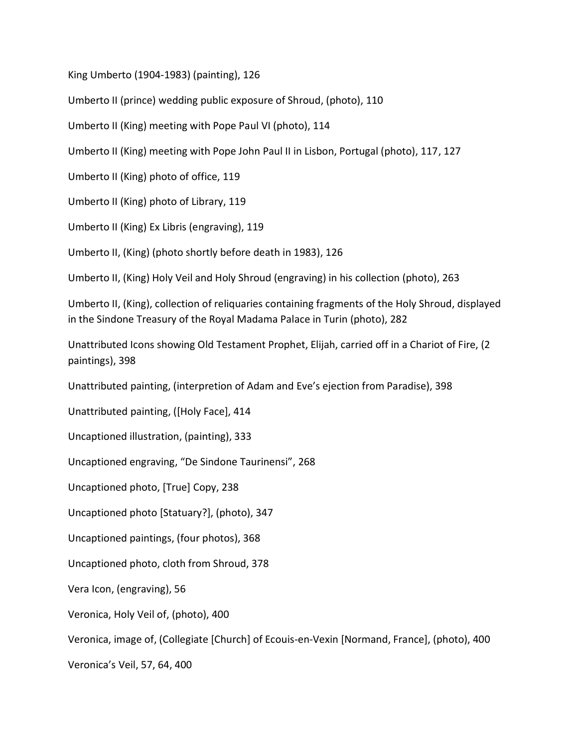King Umberto (1904-1983) (painting), 126

Umberto II (prince) wedding public exposure of Shroud, (photo), 110

Umberto II (King) meeting with Pope Paul VI (photo), 114

Umberto II (King) meeting with Pope John Paul II in Lisbon, Portugal (photo), 117, 127

Umberto II (King) photo of office, 119

Umberto II (King) photo of Library, 119

Umberto II (King) Ex Libris (engraving), 119

Umberto II, (King) (photo shortly before death in 1983), 126

Umberto II, (King) Holy Veil and Holy Shroud (engraving) in his collection (photo), 263

Umberto II, (King), collection of reliquaries containing fragments of the Holy Shroud, displayed in the Sindone Treasury of the Royal Madama Palace in Turin (photo), 282

Unattributed Icons showing Old Testament Prophet, Elijah, carried off in a Chariot of Fire, (2 paintings), 398

Unattributed painting, (interpretion of Adam and Eve's ejection from Paradise), 398

Unattributed painting, ([Holy Face], 414

Uncaptioned illustration, (painting), 333

Uncaptioned engraving, "De Sindone Taurinensi", 268

Uncaptioned photo, [True] Copy, 238

Uncaptioned photo [Statuary?], (photo), 347

Uncaptioned paintings, (four photos), 368

Uncaptioned photo, cloth from Shroud, 378

Vera Icon, (engraving), 56

Veronica, Holy Veil of, (photo), 400

Veronica, image of, (Collegiate [Church] of Ecouis-en-Vexin [Normand, France], (photo), 400

Veronica's Veil, 57, 64, 400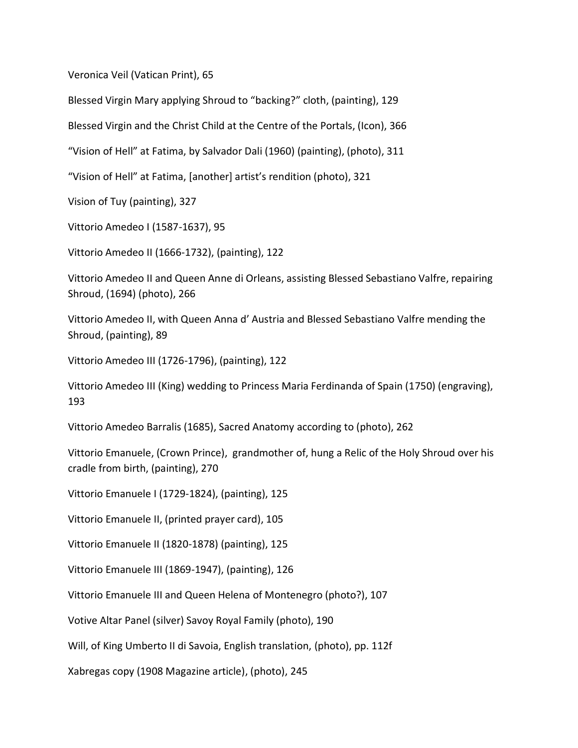Veronica Veil (Vatican Print), 65

Blessed Virgin Mary applying Shroud to "backing?" cloth, (painting), 129

Blessed Virgin and the Christ Child at the Centre of the Portals, (Icon), 366

"Vision of Hell" at Fatima, by Salvador Dali (1960) (painting), (photo), 311

"Vision of Hell" at Fatima, [another] artist's rendition (photo), 321

Vision of Tuy (painting), 327

Vittorio Amedeo I (1587-1637), 95

Vittorio Amedeo II (1666-1732), (painting), 122

Vittorio Amedeo II and Queen Anne di Orleans, assisting Blessed Sebastiano Valfre, repairing Shroud, (1694) (photo), 266

Vittorio Amedeo II, with Queen Anna d' Austria and Blessed Sebastiano Valfre mending the Shroud, (painting), 89

Vittorio Amedeo III (1726-1796), (painting), 122

Vittorio Amedeo III (King) wedding to Princess Maria Ferdinanda of Spain (1750) (engraving), 193

Vittorio Amedeo Barralis (1685), Sacred Anatomy according to (photo), 262

Vittorio Emanuele, (Crown Prince), grandmother of, hung a Relic of the Holy Shroud over his cradle from birth, (painting), 270

Vittorio Emanuele I (1729-1824), (painting), 125

Vittorio Emanuele II, (printed prayer card), 105

Vittorio Emanuele II (1820-1878) (painting), 125

Vittorio Emanuele III (1869-1947), (painting), 126

Vittorio Emanuele III and Queen Helena of Montenegro (photo?), 107

Votive Altar Panel (silver) Savoy Royal Family (photo), 190

Will, of King Umberto II di Savoia, English translation, (photo), pp. 112f

Xabregas copy (1908 Magazine article), (photo), 245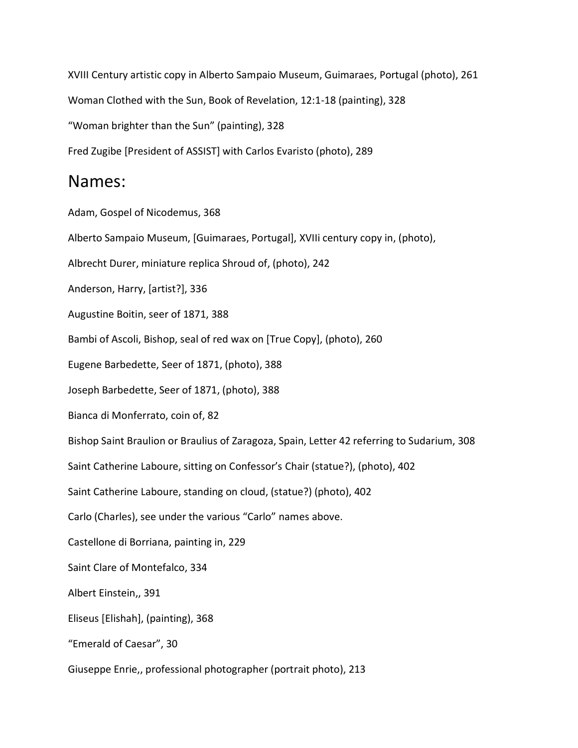XVIII Century artistic copy in Alberto Sampaio Museum, Guimaraes, Portugal (photo), 261 Woman Clothed with the Sun, Book of Revelation, 12:1-18 (painting), 328 "Woman brighter than the Sun" (painting), 328 Fred Zugibe [President of ASSIST] with Carlos Evaristo (photo), 289

#### Names:

Adam, Gospel of Nicodemus, 368 Alberto Sampaio Museum, [Guimaraes, Portugal], XVIIi century copy in, (photo), Albrecht Durer, miniature replica Shroud of, (photo), 242 Anderson, Harry, [artist?], 336 Augustine Boitin, seer of 1871, 388 Bambi of Ascoli, Bishop, seal of red wax on [True Copy], (photo), 260 Eugene Barbedette, Seer of 1871, (photo), 388 Joseph Barbedette, Seer of 1871, (photo), 388 Bianca di Monferrato, coin of, 82 Bishop Saint Braulion or Braulius of Zaragoza, Spain, Letter 42 referring to Sudarium, 308 Saint Catherine Laboure, sitting on Confessor's Chair (statue?), (photo), 402 Saint Catherine Laboure, standing on cloud, (statue?) (photo), 402 Carlo (Charles), see under the various "Carlo" names above. Castellone di Borriana, painting in, 229 Saint Clare of Montefalco, 334 Albert Einstein,, 391 Eliseus [Elishah], (painting), 368 "Emerald of Caesar", 30

Giuseppe Enrie,, professional photographer (portrait photo), 213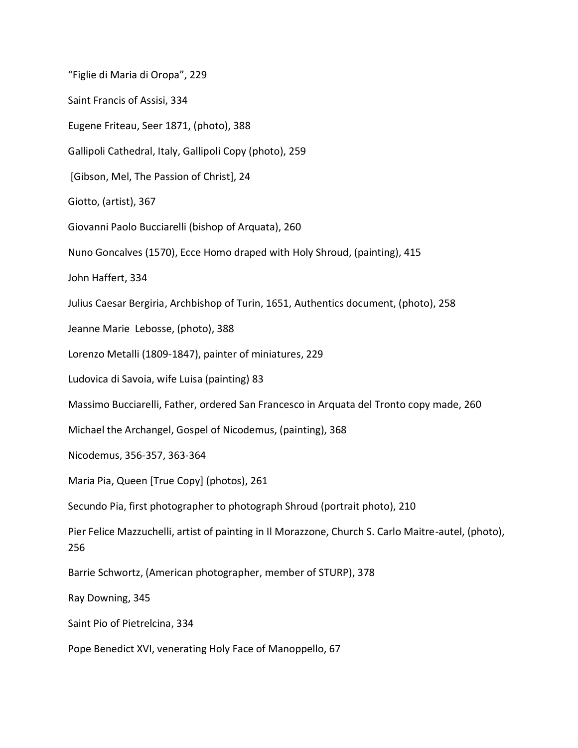"Figlie di Maria di Oropa", 229 Saint Francis of Assisi, 334 Eugene Friteau, Seer 1871, (photo), 388 Gallipoli Cathedral, Italy, Gallipoli Copy (photo), 259 [Gibson, Mel, The Passion of Christ], 24 Giotto, (artist), 367 Giovanni Paolo Bucciarelli (bishop of Arquata), 260 Nuno Goncalves (1570), Ecce Homo draped with Holy Shroud, (painting), 415 John Haffert, 334 Julius Caesar Bergiria, Archbishop of Turin, 1651, Authentics document, (photo), 258 Jeanne Marie Lebosse, (photo), 388 Lorenzo Metalli (1809-1847), painter of miniatures, 229 Ludovica di Savoia, wife Luisa (painting) 83 Massimo Bucciarelli, Father, ordered San Francesco in Arquata del Tronto copy made, 260 Michael the Archangel, Gospel of Nicodemus, (painting), 368 Nicodemus, 356-357, 363-364 Maria Pia, Queen [True Copy] (photos), 261 Secundo Pia, first photographer to photograph Shroud (portrait photo), 210 Pier Felice Mazzuchelli, artist of painting in Il Morazzone, Church S. Carlo Maitre-autel, (photo), 256 Barrie Schwortz, (American photographer, member of STURP), 378 Ray Downing, 345 Saint Pio of Pietrelcina, 334 Pope Benedict XVI, venerating Holy Face of Manoppello, 67